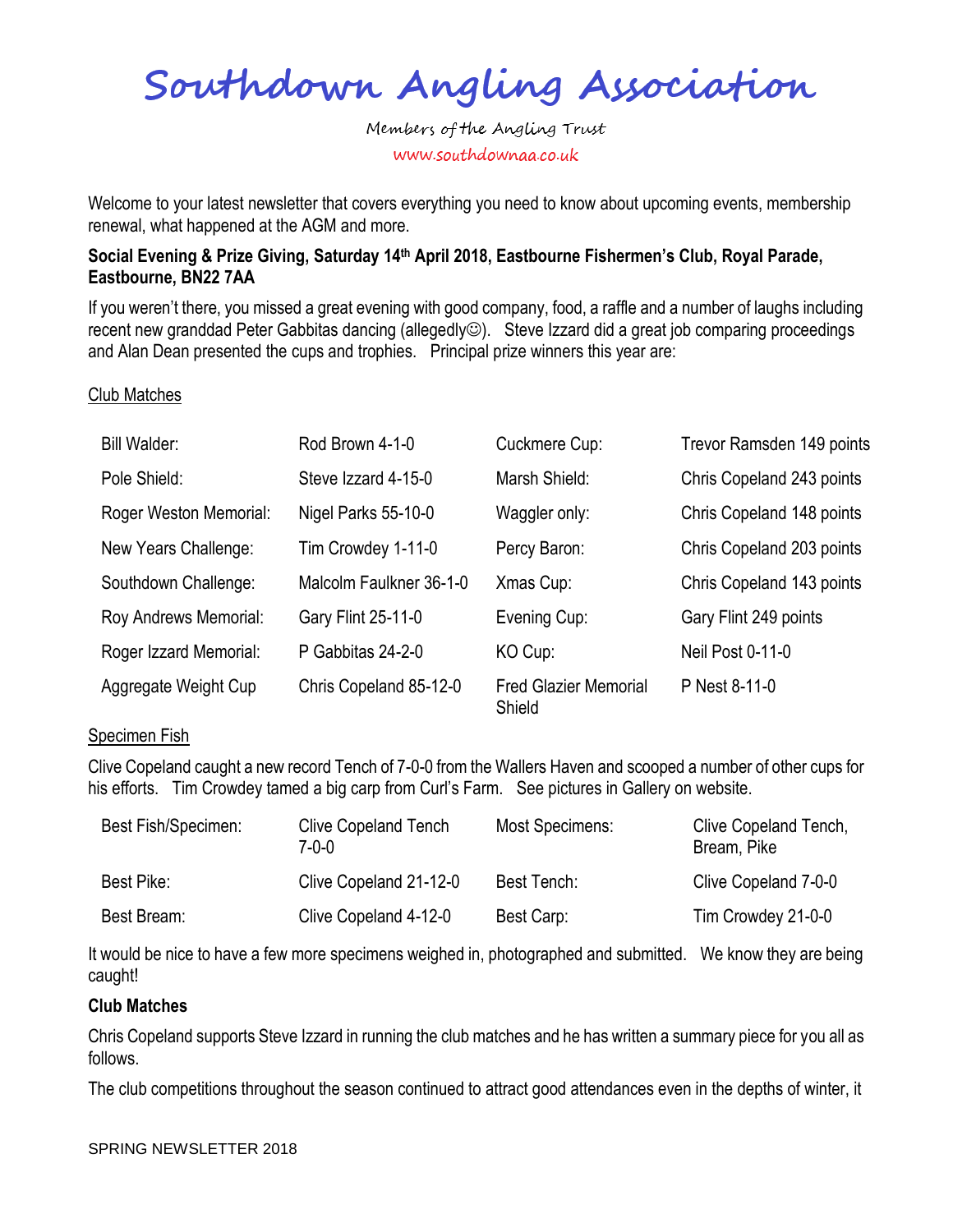Southdown Angling Association

Welcome to your latest newsletter that covers everything you need to know about upcoming events, membership renewal, what happened at the AGM and more.

### **Social Evening & Prize Giving, Saturday 14th April 2018, Eastbourne Fishermen's Club, Royal Parade, Eastbourne, BN22 7AA**

If you weren't there, you missed a great evening with good company, food, a raffle and a number of laughs including recent new granddad Peter Gabbitas dancing (allegedly©). Steve Izzard did a great job comparing proceedings and Alan Dean presented the cups and trophies. Principal prize winners this year are:

### Club Matches

| Bill Walder:           | Rod Brown 4-1-0         | Cuckmere Cup:                          | Trevor Ramsden 149 points |
|------------------------|-------------------------|----------------------------------------|---------------------------|
| Pole Shield:           | Steve Izzard 4-15-0     | Marsh Shield:                          | Chris Copeland 243 points |
| Roger Weston Memorial: | Nigel Parks 55-10-0     | Waggler only:                          | Chris Copeland 148 points |
| New Years Challenge:   | Tim Crowdey 1-11-0      | Percy Baron:                           | Chris Copeland 203 points |
| Southdown Challenge:   | Malcolm Faulkner 36-1-0 | Xmas Cup:                              | Chris Copeland 143 points |
| Roy Andrews Memorial:  | Gary Flint 25-11-0      | Evening Cup:                           | Gary Flint 249 points     |
| Roger Izzard Memorial: | P Gabbitas 24-2-0       | KO Cup:                                | <b>Neil Post 0-11-0</b>   |
| Aggregate Weight Cup   | Chris Copeland 85-12-0  | <b>Fred Glazier Memorial</b><br>Shield | P Nest 8-11-0             |

### Specimen Fish

Clive Copeland caught a new record Tench of 7-0-0 from the Wallers Haven and scooped a number of other cups for his efforts. Tim Crowdey tamed a big carp from Curl's Farm. See pictures in Gallery on website.

| Best Fish/Specimen: | <b>Clive Copeland Tench</b><br>7-0-0 | Most Specimens: | Clive Copeland Tench,<br>Bream, Pike |
|---------------------|--------------------------------------|-----------------|--------------------------------------|
| Best Pike:          | Clive Copeland 21-12-0               | Best Tench:     | Clive Copeland 7-0-0                 |
| Best Bream:         | Clive Copeland 4-12-0                | Best Carp:      | Tim Crowdey 21-0-0                   |

It would be nice to have a few more specimens weighed in, photographed and submitted. We know they are being caught!

### **Club Matches**

Chris Copeland supports Steve Izzard in running the club matches and he has written a summary piece for you all as follows.

The club competitions throughout the season continued to attract good attendances even in the depths of winter, it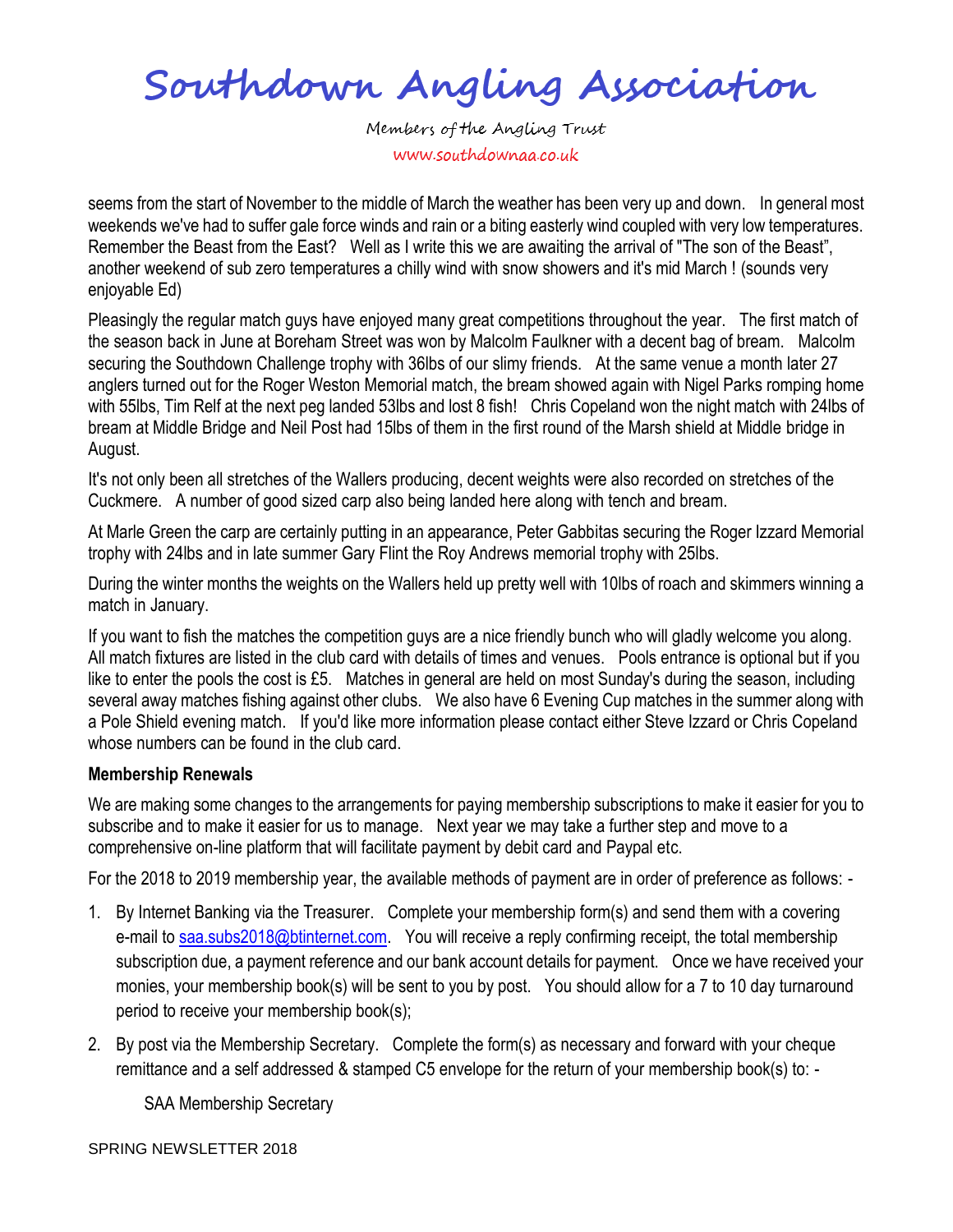Southdown Angling Association

seems from the start of November to the middle of March the weather has been very up and down. In general most weekends we've had to suffer gale force winds and rain or a biting easterly wind coupled with very low temperatures. Remember the Beast from the East? Well as I write this we are awaiting the arrival of "The son of the Beast", another weekend of sub zero temperatures a chilly wind with snow showers and it's mid March ! (sounds very enjoyable Ed)

Pleasingly the regular match guys have enjoyed many great competitions throughout the year. The first match of the season back in June at Boreham Street was won by Malcolm Faulkner with a decent bag of bream. Malcolm securing the Southdown Challenge trophy with 36lbs of our slimy friends. At the same venue a month later 27 anglers turned out for the Roger Weston Memorial match, the bream showed again with Nigel Parks romping home with 55lbs, Tim Relf at the next peg landed 53lbs and lost 8 fish! Chris Copeland won the night match with 24lbs of bream at Middle Bridge and Neil Post had 15lbs of them in the first round of the Marsh shield at Middle bridge in August.

It's not only been all stretches of the Wallers producing, decent weights were also recorded on stretches of the Cuckmere. A number of good sized carp also being landed here along with tench and bream.

At Marle Green the carp are certainly putting in an appearance, Peter Gabbitas securing the Roger Izzard Memorial trophy with 24lbs and in late summer Gary Flint the Roy Andrews memorial trophy with 25lbs.

During the winter months the weights on the Wallers held up pretty well with 10lbs of roach and skimmers winning a match in January.

If you want to fish the matches the competition guys are a nice friendly bunch who will gladly welcome you along. All match fixtures are listed in the club card with details of times and venues. Pools entrance is optional but if you like to enter the pools the cost is £5. Matches in general are held on most Sunday's during the season, including several away matches fishing against other clubs. We also have 6 Evening Cup matches in the summer along with a Pole Shield evening match. If you'd like more information please contact either Steve Izzard or Chris Copeland whose numbers can be found in the club card.

## **Membership Renewals**

We are making some changes to the arrangements for paying membership subscriptions to make it easier for you to subscribe and to make it easier for us to manage. Next year we may take a further step and move to a comprehensive on-line platform that will facilitate payment by debit card and Paypal etc.

For the 2018 to 2019 membership year, the available methods of payment are in order of preference as follows: -

- 1. By Internet Banking via the Treasurer. Complete your membership form(s) and send them with a covering e-mail to [saa.subs2018@btinternet.com.](mailto:saa.subs2018@btinternet.com) You will receive a reply confirming receipt, the total membership subscription due, a payment reference and our bank account details for payment. Once we have received your monies, your membership book(s) will be sent to you by post. You should allow for a 7 to 10 day turnaround period to receive your membership book(s);
- 2. By post via the Membership Secretary. Complete the form(s) as necessary and forward with your cheque remittance and a self addressed & stamped C5 envelope for the return of your membership book(s) to: -

SAA Membership Secretary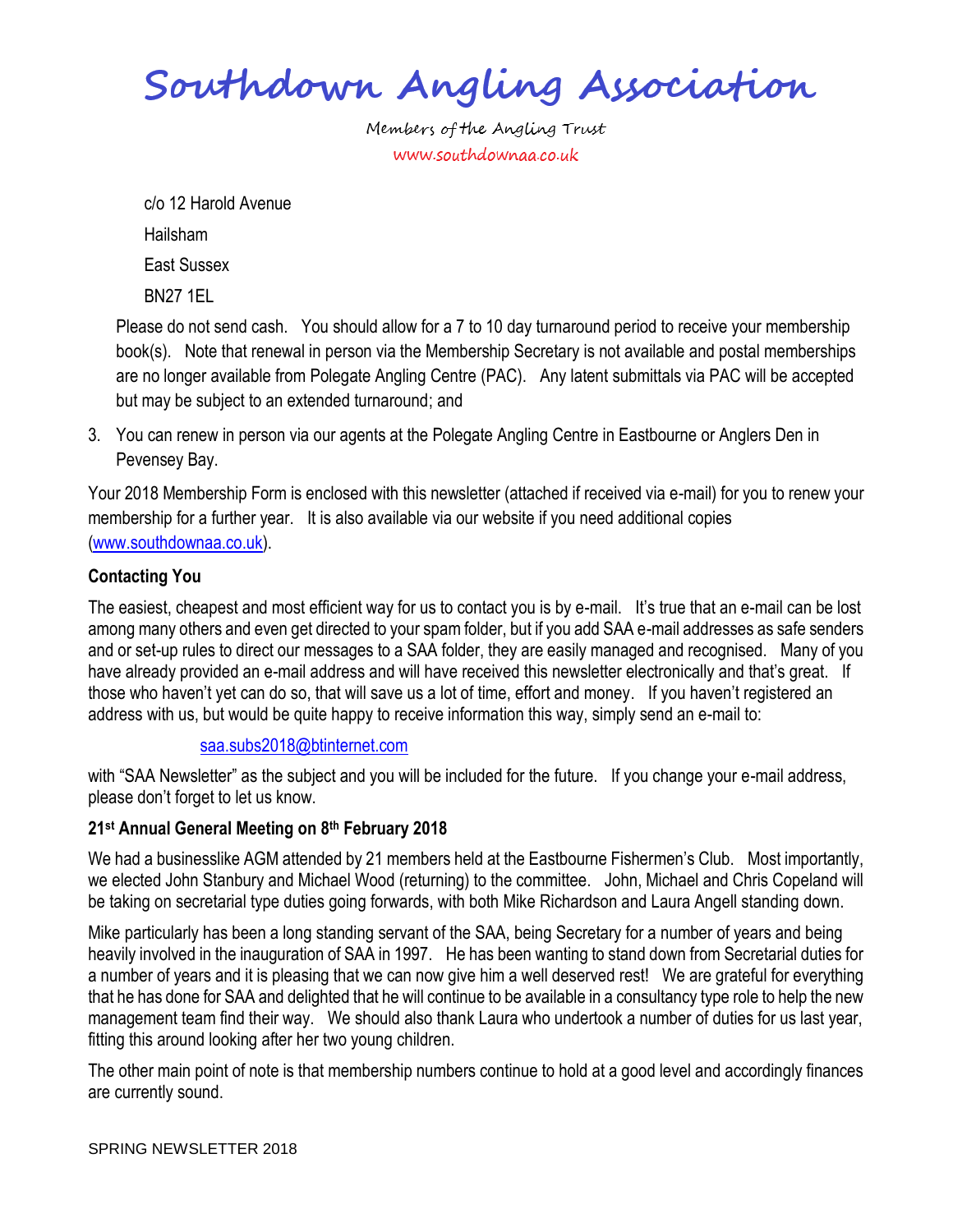Southdown Angling Association

c/o 12 Harold Avenue Hailsham East Sussex BN27 1EL

Please do not send cash. You should allow for a 7 to 10 day turnaround period to receive your membership book(s). Note that renewal in person via the Membership Secretary is not available and postal memberships are no longer available from Polegate Angling Centre (PAC). Any latent submittals via PAC will be accepted but may be subject to an extended turnaround; and

3. You can renew in person via our agents at the Polegate Angling Centre in Eastbourne or Anglers Den in Pevensey Bay.

Your 2018 Membership Form is enclosed with this newsletter (attached if received via e-mail) for you to renew your membership for a further year. It is also available via our website if you need additional copies [\(www.southdownaa.co.uk\)](http://www.southdownaa.co.uk/).

# **Contacting You**

The easiest, cheapest and most efficient way for us to contact you is by e-mail. It's true that an e-mail can be lost among many others and even get directed to your spam folder, but if you add SAA e-mail addresses as safe senders and or set-up rules to direct our messages to a SAA folder, they are easily managed and recognised. Many of you have already provided an e-mail address and will have received this newsletter electronically and that's great. If those who haven't yet can do so, that will save us a lot of time, effort and money. If you haven't registered an address with us, but would be quite happy to receive information this way, simply send an e-mail to:

## [saa.subs2018@btinternet.com](mailto:saa.subs2018@btinternet.com)

with "SAA Newsletter" as the subject and you will be included for the future. If you change your e-mail address, please don't forget to let us know.

## **21st Annual General Meeting on 8th February 2018**

We had a businesslike AGM attended by 21 members held at the Eastbourne Fishermen's Club. Most importantly, we elected John Stanbury and Michael Wood (returning) to the committee. John, Michael and Chris Copeland will be taking on secretarial type duties going forwards, with both Mike Richardson and Laura Angell standing down.

Mike particularly has been a long standing servant of the SAA, being Secretary for a number of years and being heavily involved in the inauguration of SAA in 1997. He has been wanting to stand down from Secretarial duties for a number of years and it is pleasing that we can now give him a well deserved rest! We are grateful for everything that he has done for SAA and delighted that he will continue to be available in a consultancy type role to help the new management team find their way. We should also thank Laura who undertook a number of duties for us last year, fitting this around looking after her two young children.

The other main point of note is that membership numbers continue to hold at a good level and accordingly finances are currently sound.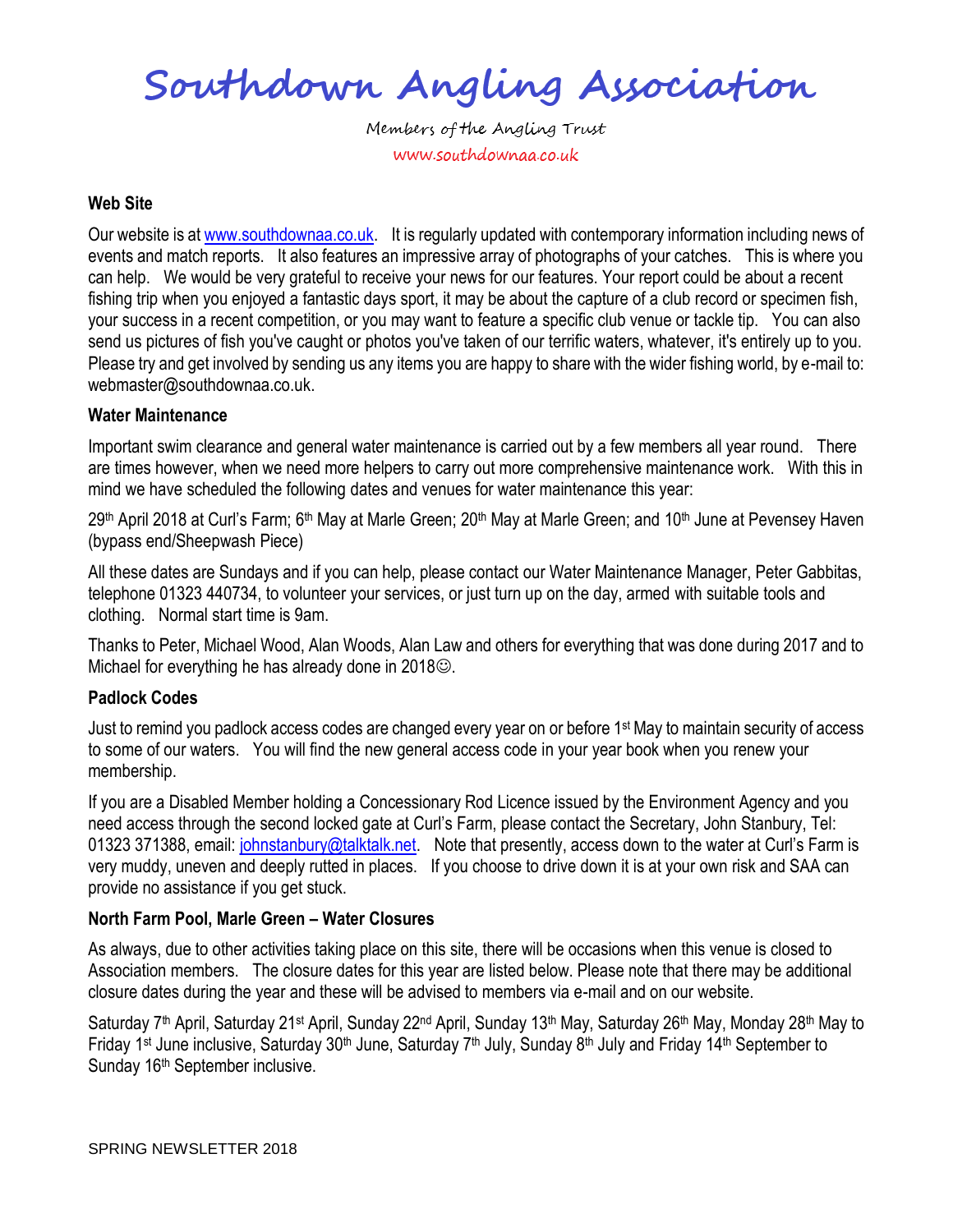Southdown Angling Association

#### **Web Site**

Our website is at [www.southdownaa.co.uk.](http://www.southdownaa.co.uk/) It is regularly updated with contemporary information including news of events and match reports. It also features an impressive array of photographs of your catches. This is where you can help. We would be very grateful to receive your news for our features. Your report could be about a recent fishing trip when you enjoyed a fantastic days sport, it may be about the capture of a club record or specimen fish, your success in a recent competition, or you may want to feature a specific club venue or tackle tip. You can also send us pictures of fish you've caught or photos you've taken of our terrific waters, whatever, it's entirely up to you. Please try and get involved by sending us any items you are happy to share with the wider fishing world, by e-mail to: webmaster@southdownaa.co.uk.

#### **Water Maintenance**

Important swim clearance and general water maintenance is carried out by a few members all year round. There are times however, when we need more helpers to carry out more comprehensive maintenance work. With this in mind we have scheduled the following dates and venues for water maintenance this year:

29<sup>th</sup> April 2018 at Curl's Farm; 6<sup>th</sup> May at Marle Green; 20<sup>th</sup> May at Marle Green; and 10<sup>th</sup> June at Pevensey Haven (bypass end/Sheepwash Piece)

All these dates are Sundays and if you can help, please contact our Water Maintenance Manager, Peter Gabbitas, telephone 01323 440734, to volunteer your services, or just turn up on the day, armed with suitable tools and clothing. Normal start time is 9am.

Thanks to Peter, Michael Wood, Alan Woods, Alan Law and others for everything that was done during 2017 and to Michael for everything he has already done in  $2018$  $\odot$ .

### **Padlock Codes**

Just to remind you padlock access codes are changed every year on or before 1<sup>st</sup> May to maintain security of access to some of our waters. You will find the new general access code in your year book when you renew your membership.

If you are a Disabled Member holding a Concessionary Rod Licence issued by the Environment Agency and you need access through the second locked gate at Curl's Farm, please contact the Secretary, John Stanbury, Tel: 01323 371388, email: [johnstanbury@talktalk.net.](mailto:johnstanbury@talktalk.net) Note that presently, access down to the water at Curl's Farm is very muddy, uneven and deeply rutted in places. If you choose to drive down it is at your own risk and SAA can provide no assistance if you get stuck.

### **North Farm Pool, Marle Green – Water Closures**

As always, due to other activities taking place on this site, there will be occasions when this venue is closed to Association members. The closure dates for this year are listed below. Please note that there may be additional closure dates during the year and these will be advised to members via e-mail and on our website.

Saturday 7<sup>th</sup> April, Saturday 21<sup>st</sup> April, Sunday 22<sup>nd</sup> April, Sunday 13<sup>th</sup> May, Saturday 26<sup>th</sup> May, Monday 28<sup>th</sup> May to Friday 1<sup>st</sup> June inclusive, Saturday 30<sup>th</sup> June, Saturday 7<sup>th</sup> July, Sunday 8<sup>th</sup> July and Friday 14<sup>th</sup> September to Sunday 16<sup>th</sup> September inclusive.